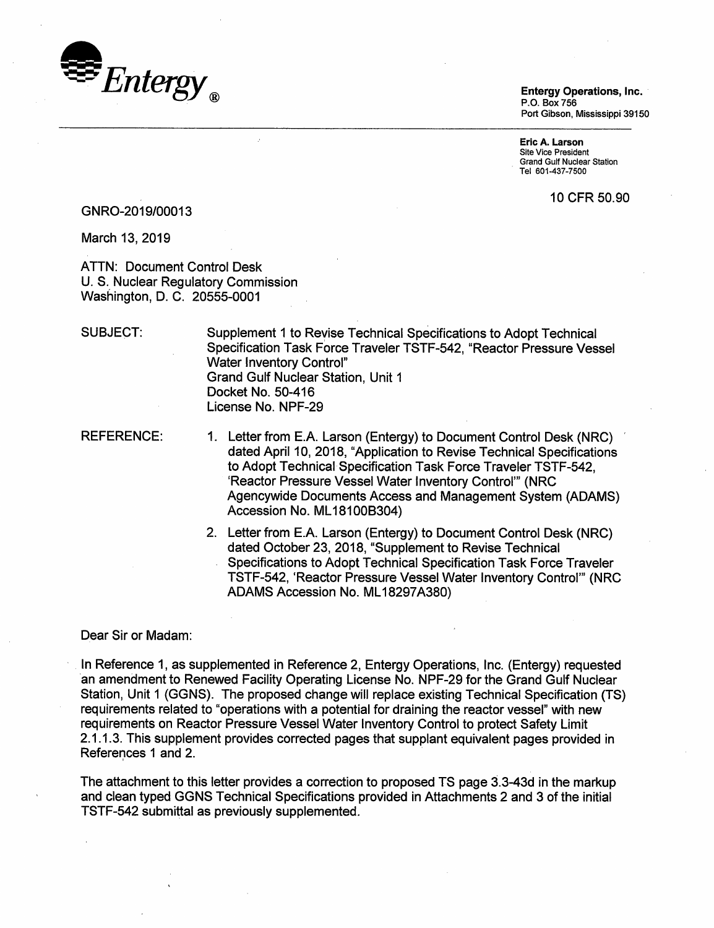

P.O. Box 756 Port Gibson, Mississippi 39150

Eric A. Larson Site Vice President Grand Gulf Nuclear Station . Tel 601-437-7500

10 CFR 50.90

### GNR0-2019/00013

March 13, 2019

ATTN: Document Control Desk U. S. Nuclear Regulatory Commission Washington, D. C. 20555-0001

SUBJECT:

Supplement 1 to Revise Technical Specifications to Adopt Technical Specification Task Force Traveler TSTF-542, "Reactor Pressure Vessel Water Inventory Control" Grand Gulf Nuclear Station, Unit 1 Docket No. 50-416 License No. NPF-29

REFERENCE:

- 1. Letter from E.A. Larson (Entergy) to Document Control Desk (NRC) dated April 10, 2018, "Application to Revise Technical Specifications to Adopt Technical Specification Task Force Traveler TSTF-542, 'Reactor Pressure Vessel Water Inventory Control"' (NRC Agencywide Documents Access and Management System (ADAMS) Accession No. ML 181008304)
- 2. Letter from E.A. Larson (Entergy) to Document Control Desk (NRC) dated October 23, 2018, "Supplement to Revise Technical Specifications to Adopt Technical Specification Task Force Traveler TSTF-542, 'Reactor Pressure Vessel Water Inventory Control"' (NRC ADAMS Accession No. ML18297A380)

#### Dear Sir or Madam:

In Reference 1, as supplemented in Reference 2, Entergy Operations, Inc. (Entergy) requested ·an amendment to Renewed Facility Operating License No. NPF-29 for the Grand Gulf Nuclear Station, Unit 1 (GGNS). The proposed change will replace existing Technical Specification (TS) requirements related to "operations with a potential for draining the reactor vessel" with new requirements on Reactor Pressure Vessel Water Inventory Control to protect Safety Limit 2.1.1.3. This supplement provides corrected pages that supplant equivalent pages provided in References 1 and 2.

The attachment to this letter provides a correction to proposed TS page 3.3-43d in the markup and clean typed GGNS Technical Specifications provided in Attachments 2 and 3 of the initial TSTF-542 submittal as previously supplemented.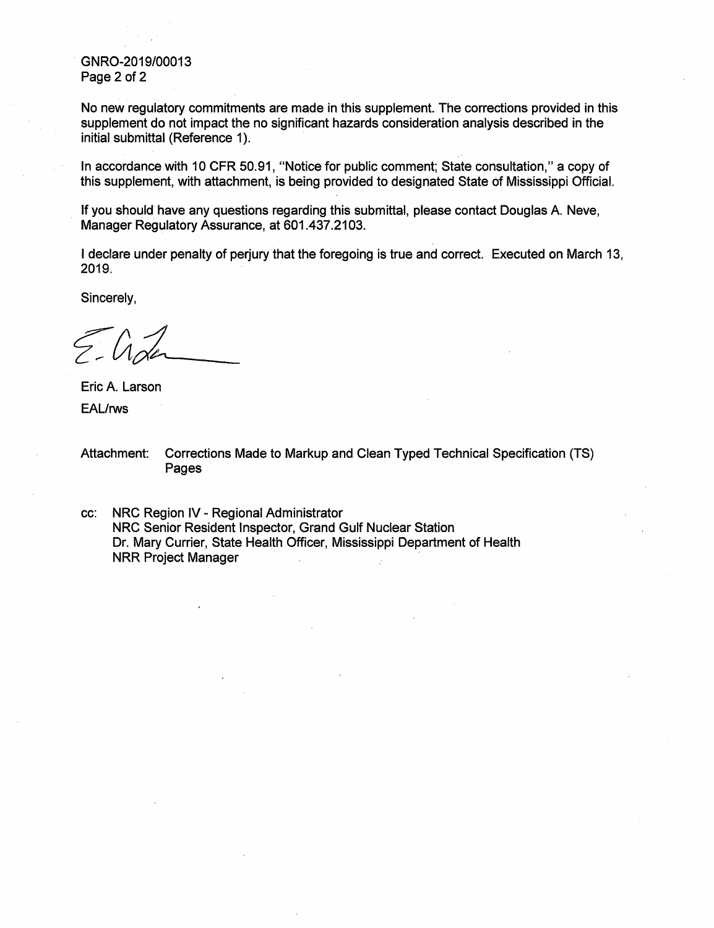. GNR0-2019/00013 Page 2 of 2

No new regulatory commitments are made in this supplement. The corrections provided in this supplement do not impact the no significant hazards consideration analysis described in the initial submittal (Reference 1).

In accordance with 10 CFR 50.91, "Notice for public comment; State consultation," a copy of this supplement, with attachment, is being provided to designated State of Mississippi Official.

If you should have any questions regarding this submittal, please contact Douglas A Neve, Manager Regulatory Assurance, at 601.437.2103.

I declare under penalty of perjury that the foregoing is true and correct. Executed on March 13, 2019.

Sincerely,

Eric A. Larson EAL/rws

- Attachment: Corrections Made to Markup and Clean Typed Technical Specification (TS) Pages
- cc: NRC Region IV- Regional Administrator NRC Senior Resident Inspector, Grand Gulf Nuclear Station Dr. Mary Currier, State Health Officer, Mississippi Department of Health NRR Project Manager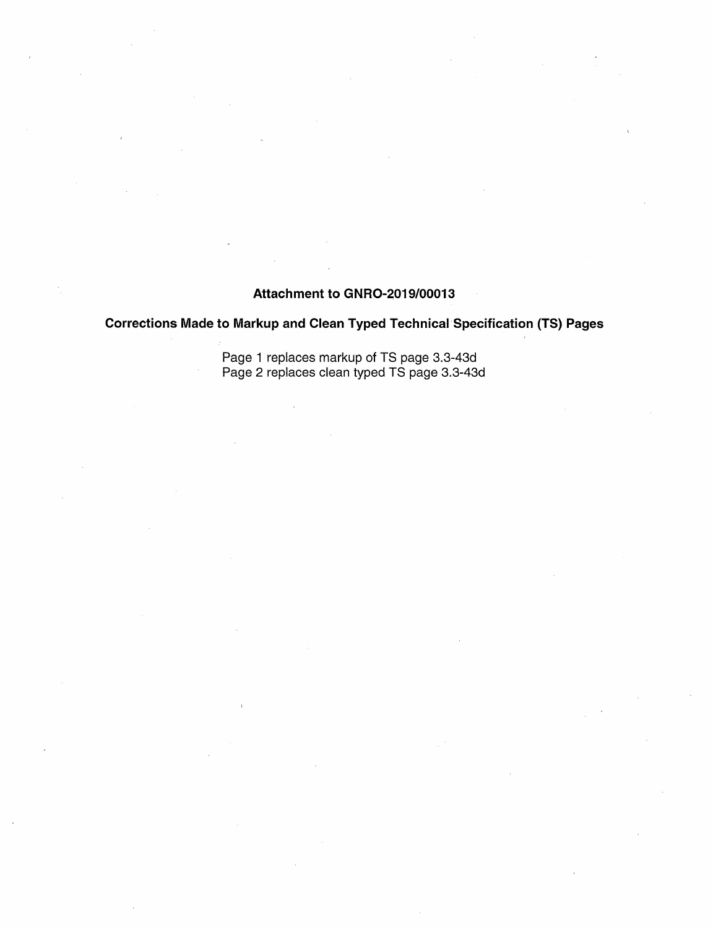# Attachment to GNR0-2019/00013

# Corrections Made to Markup and Clean Typed Technical· Specification (TS) Pages

Page 1 replaces markup of TS page 3.3-43d Page 2 replaces clean typed TS page 3.3-43d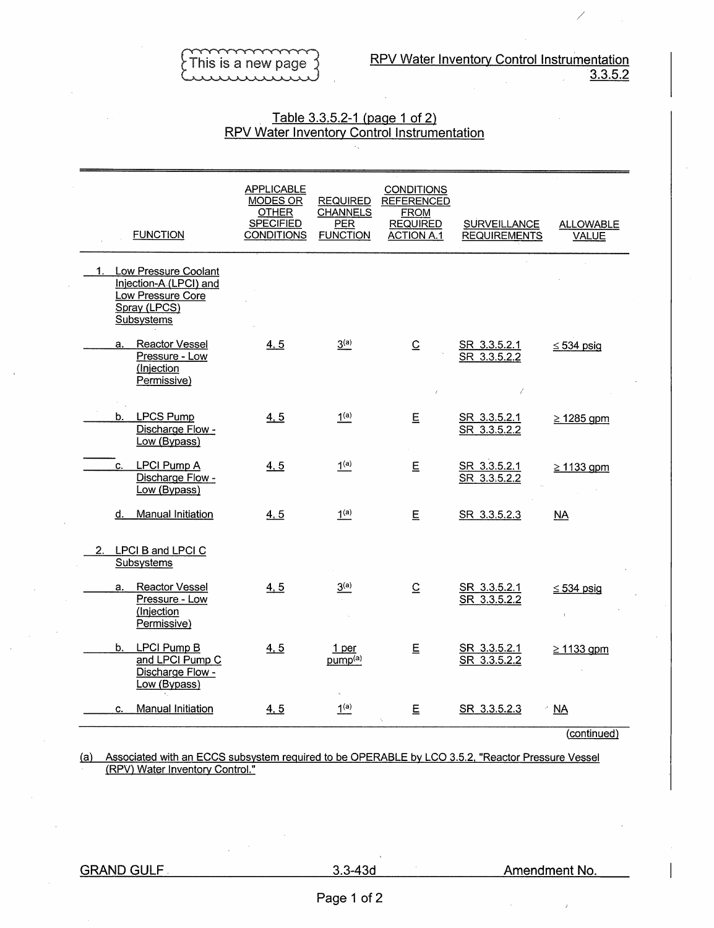/

### Table 3.3.5.2-1 (page 1 of 2) RPV Water Inventory Control Instrumentation

| <b>FUNCTION</b>                                                                                      | <b>APPLICABLE</b><br><b>MODES OR</b><br><b>OTHER</b><br><b>SPECIFIED</b><br><b>CONDITIONS</b> | <b>REQUIRED</b><br><b>CHANNELS</b><br><b>PER</b><br><b>FUNCTION</b> | <b>CONDITIONS</b><br><b>REFERENCED</b><br><b>FROM</b><br><b>REQUIRED</b><br><b>ACTION A.1</b> | <b>SURVEILLANCE</b><br><b>REQUIREMENTS</b> | <b>ALLOWABLE</b><br><b>VALUE</b> |
|------------------------------------------------------------------------------------------------------|-----------------------------------------------------------------------------------------------|---------------------------------------------------------------------|-----------------------------------------------------------------------------------------------|--------------------------------------------|----------------------------------|
| 1. Low Pressure Coolant<br>Injection-A (LPCI) and<br>Low Pressure Core<br>Spray (LPCS)<br>Subsystems |                                                                                               |                                                                     |                                                                                               |                                            |                                  |
| <b>Reactor Vessel</b><br>а.<br>Pressure - Low<br>(Injection<br>Permissive)                           | 4, 5                                                                                          | 3 <sup>(a)</sup>                                                    | $\overline{C}$                                                                                | SR 3.3.5.2.1<br>SR 3.3.5.2.2               | $\leq$ 534 psig                  |
| b. LPCS Pump<br>Discharge Flow -<br>Low (Bypass)                                                     | 4, 5                                                                                          | 1 <sup>(a)</sup>                                                    | E                                                                                             | SR 3.3.5.2.1<br>SR 3.3.5.2.2               | $\geq$ 1285 gpm                  |
| <b>LPCI Pump A</b><br>C.<br>Discharge Flow -<br>Low (Bypass)                                         | 4, 5                                                                                          | 1 <sup>(a)</sup>                                                    | $\mathsf E$                                                                                   | SR 3.3.5.2.1<br>SR 3.3.5.2.2               | $\geq$ 1133 gpm                  |
| d. Manual Initiation                                                                                 | 4, 5                                                                                          | 1 <sup>(a)</sup>                                                    | E                                                                                             | SR 3.3.5.2.3                               | <b>NA</b>                        |
| 2.<br>LPCI B and LPCI C<br>Subsystems                                                                |                                                                                               |                                                                     |                                                                                               |                                            |                                  |
| <b>Reactor Vessel</b><br>a.<br>Pressure - Low<br>(Injection<br>Permissive)                           | 4, 5                                                                                          | 3 <sup>(a)</sup>                                                    | $\overline{C}$                                                                                | SR 3.3.5.2.1<br>SR 3.3.5.2.2               | $\leq$ 534 psig                  |
| b. LPCI Pump B<br>and LPCI Pump C<br>Discharge Flow -<br>Low (Bypass)                                | 4, 5                                                                                          | 1 per<br>pump <sup>(a)</sup>                                        | E                                                                                             | SR 3.3.5.2.1<br>SR 3.3.5.2.2               | $\geq$ 1133 gpm                  |
| Manual Initiation<br>C.                                                                              | 4.5                                                                                           | 1 <sup>(a)</sup>                                                    | E                                                                                             | SR 3.3.5.2.3                               | <b>NA</b>                        |

(continued)

(a) Associated with an ECCS subsystem required to be OPERABLE by LCO 3.5.2, "Reactor Pressure Vessel (RPV) Water Inventory Control."

 $\bar{z}$